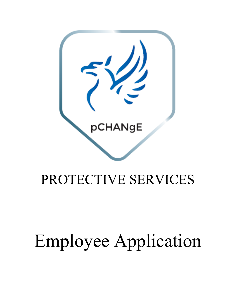

## PROTECTIVE SERVICES

# Employee Application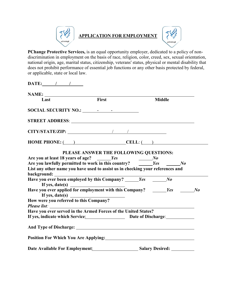

**PChange Protective Services,** is an equal opportunity employer, dedicated to a policy of nondiscrimination in employment on the basis of race, religion, color, creed, sex, sexual orientation, national origin, age, marital status, citizenship, veterans' status, physical or mental disability that does not prohibit performance of essential job functions or any other basis protected by federal, or applicable, state or local law.

| $\textbf{DATE:}$ / /                                                                                                                                                                                                                                                                                               |                                        |               |  |
|--------------------------------------------------------------------------------------------------------------------------------------------------------------------------------------------------------------------------------------------------------------------------------------------------------------------|----------------------------------------|---------------|--|
|                                                                                                                                                                                                                                                                                                                    |                                        |               |  |
| Last                                                                                                                                                                                                                                                                                                               | $\overline{First}$                     | <b>Middle</b> |  |
|                                                                                                                                                                                                                                                                                                                    |                                        |               |  |
|                                                                                                                                                                                                                                                                                                                    |                                        |               |  |
|                                                                                                                                                                                                                                                                                                                    |                                        |               |  |
| $HOME PHONE: ( )$ $CELL: ( )$                                                                                                                                                                                                                                                                                      |                                        |               |  |
| Are you at least 18 years of age? <u>Similar Section of</u> the section of the you lawfully permitted to work in this country? Similar Section 200 and 200 metal of the you have $N$ of the you have $N$ of $N$ or $N$ or $N$ or<br>List any other name you have used to assist us in checking your references and | PLEASE ANSWER THE FOLLOWING QUESTIONS: |               |  |
| Have you ever been employed by this Company? _____Yes _____No<br>If yes, date(s) $\qquad \qquad \qquad$                                                                                                                                                                                                            |                                        |               |  |
| Have you ever applied for employment with this Company? $\frac{Y}{S}$ $\frac{Y}{S}$ $\frac{N}{S}$                                                                                                                                                                                                                  |                                        |               |  |
| If yes, date(s)<br>How were you referred to this Company?                                                                                                                                                                                                                                                          |                                        |               |  |
| Have you ever served in the Armed Forces of the United States?                                                                                                                                                                                                                                                     |                                        |               |  |
| If yes, indicate which Service: Date of Discharge:                                                                                                                                                                                                                                                                 |                                        |               |  |
|                                                                                                                                                                                                                                                                                                                    |                                        |               |  |
| Position For Which You Are Applying:                                                                                                                                                                                                                                                                               |                                        |               |  |
| Date Available For Employment: Salary Desired: __________________________________                                                                                                                                                                                                                                  |                                        |               |  |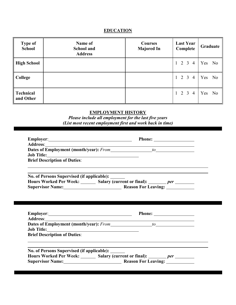### **EDUCATION**

| <b>Type of</b><br><b>School</b> | Name of<br><b>School and</b><br><b>Address</b> | <b>Courses</b><br><b>Majored In</b> | <b>Last Year</b><br>Complete | Graduate  |
|---------------------------------|------------------------------------------------|-------------------------------------|------------------------------|-----------|
| High School                     |                                                |                                     | $1 \t2 \t3 \t4$              | Yes<br>No |
| College                         |                                                |                                     | $1 \t2 \t3 \t4$              | Yes<br>No |
| Technical<br>and Other          |                                                |                                     | $1 \t2 \t3 \t4$              | Yes<br>No |

#### **EMPLOYMENT HISTORY**

*Please include all employment for the last five years (List most recent employment first and work back in time)*

| Employer: Phone: Phone:                                                                                                                                                                                                                                         |  |
|-----------------------------------------------------------------------------------------------------------------------------------------------------------------------------------------------------------------------------------------------------------------|--|
| Address: Andreas Address: Address: Address: Address: Address: Address: Address: Address: Address: Address: Address: Address: Address: Address: Address: Address: Address: Address: Address: Address: Address: Address: Address                                  |  |
|                                                                                                                                                                                                                                                                 |  |
| Job Title: North Communication of the Communication of the Communication of the Communication of the Communication of the Communication of the Communication of the Communication of the Communication of the Communication of                                  |  |
| <b>Brief Description of Duties:</b>                                                                                                                                                                                                                             |  |
| No. of Persons Supervised (if applicable): ______                                                                                                                                                                                                               |  |
| Hours Worked Per Week: Salary (current or final): ______ per ______                                                                                                                                                                                             |  |
| Supervisor Name: Mamerican Manuscription Reason For Leaving: Manuscription Name:                                                                                                                                                                                |  |
|                                                                                                                                                                                                                                                                 |  |
|                                                                                                                                                                                                                                                                 |  |
|                                                                                                                                                                                                                                                                 |  |
| Employer: Phone: Phone:<br>Address: <u>Address: Address: Address: Address: Address: Address: Address: Address: Address: Address: Address: Address: Address: Address: Address: Address: Address: Address: Address: Address: Address: Address: Address: Addre</u> |  |
|                                                                                                                                                                                                                                                                 |  |
| <b>Brief Description of Duties:</b>                                                                                                                                                                                                                             |  |
|                                                                                                                                                                                                                                                                 |  |
| No. of Persons Supervised (if applicable): ______                                                                                                                                                                                                               |  |
| Hours Worked Per Week: Salary (current or final): <i>______ per ______</i><br>Supervisor Name: Reason For Leaving:                                                                                                                                              |  |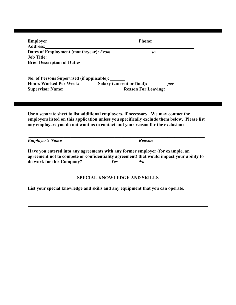|                                                                                                                                                                                                                                | Employer: Phone: Phone:                                                                                                                                                                                                                                               |
|--------------------------------------------------------------------------------------------------------------------------------------------------------------------------------------------------------------------------------|-----------------------------------------------------------------------------------------------------------------------------------------------------------------------------------------------------------------------------------------------------------------------|
|                                                                                                                                                                                                                                |                                                                                                                                                                                                                                                                       |
|                                                                                                                                                                                                                                |                                                                                                                                                                                                                                                                       |
| Job Title: North Communication of the Communication of the Communication of the Communication of the Communication of the Communication of the Communication of the Communication of the Communication of the Communication of |                                                                                                                                                                                                                                                                       |
| <b>Brief Description of Duties:</b>                                                                                                                                                                                            |                                                                                                                                                                                                                                                                       |
| No. of Persons Supervised (if applicable): _____                                                                                                                                                                               |                                                                                                                                                                                                                                                                       |
|                                                                                                                                                                                                                                | Hours Worked Per Week: _______ Salary (current or final): _______ per ________                                                                                                                                                                                        |
|                                                                                                                                                                                                                                | Supervisor Name: Mamerican Reason For Leaving: Manuscription Name:                                                                                                                                                                                                    |
|                                                                                                                                                                                                                                | Use a separate sheet to list additional employers, if necessary. We may contact the<br>employers listed on this application unless you specifically exclude them below. Please list<br>any employers you do not want us to contact and your reason for the exclusion: |
| <b>Employer's Name</b>                                                                                                                                                                                                         | <b>Reason</b>                                                                                                                                                                                                                                                         |
| do work for this Company? <i>Yes</i> No                                                                                                                                                                                        | Have you entered into any agreements with any former employer (for example, an<br>agreement not to compete or confidentiality agreement) that would impact your ability to                                                                                            |
|                                                                                                                                                                                                                                | <b>SPECIAL KNOWLEDGE AND SKILLS</b>                                                                                                                                                                                                                                   |
|                                                                                                                                                                                                                                | List your special knowledge and skills and any equipment that you can operate.                                                                                                                                                                                        |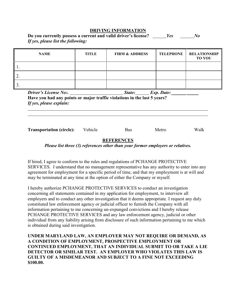#### **DRIVING INFORMATION**

| Do you currently possess a current and valid driver's license? | $\mathcal{N}$ |
|----------------------------------------------------------------|---------------|
| If yes, please list the following:                             |               |

|            | <b>NAME</b>                                             | TITLE   | <b>FIRM &amp; ADDRESS</b>                                                                     | <b>TELEPHONE</b> | <b>RELATIONSHIP</b><br><b>TO YOU</b> |
|------------|---------------------------------------------------------|---------|-----------------------------------------------------------------------------------------------|------------------|--------------------------------------|
|            |                                                         |         |                                                                                               |                  |                                      |
| $\vert$ 2. |                                                         |         |                                                                                               |                  |                                      |
| 13.        |                                                         |         |                                                                                               |                  |                                      |
|            | <b>Driver's License No:.</b><br>If yes, please explain: |         | State: Exp. Date:<br>Have you had any points or major traffic violations in the last 5 years? |                  |                                      |
|            | <b>Transportation (circle):</b>                         | Vehicle | <b>Bus</b>                                                                                    | Metro            | Walk                                 |

#### **REFERENCES**

*Please list three (3) references other than your former employers or relatives.*

If hired, I agree to conform to the rules and regulations of PCHANGE PROTECTIVE SERVICES. I understand that no management representative has any authority to enter into any agreement for employment for a specific period of time, and that my employment is at will and may be terminated at any time at the option of either the Company or myself.

I hereby authorize PCHANGE PROTECTIVE SERVICES to conduct an investigation concerning all statements contained in my application for employment, to interview all employers and to conduct any other investigation that it deems appropriate. I request any duly constituted law enforcement agency or judicial officer to furnish the Company with all information pertaining to me concerning un-expunged convictions and I hereby release PCHANGE PROTECTIVE SERVICES and any law enforcement agency, judicial or other individual from any liability arising from disclosure of such information pertaining to me which is obtained during said investigation.

**UNDER MARYLAND LAW, AN EMPLOYER MAY NOT REQUIRE OR DEMAND, AS A CONDITION OF EMPLOYMENT, PROSPECTIVE EMPLOYMENT OR CONTINUED EMPLOYMENT, THAT AN INDIVIDUAL SUBMIT TO OR TAKE A LIE DETECTOR OR SIMILAR TEST. AN EMPLOYER WHO VIOLATES THIS LAW IS GUILTY OF A MISDEMEANOR AND SUBJECT TO A FINE NOT EXCEEDING \$100.00.**